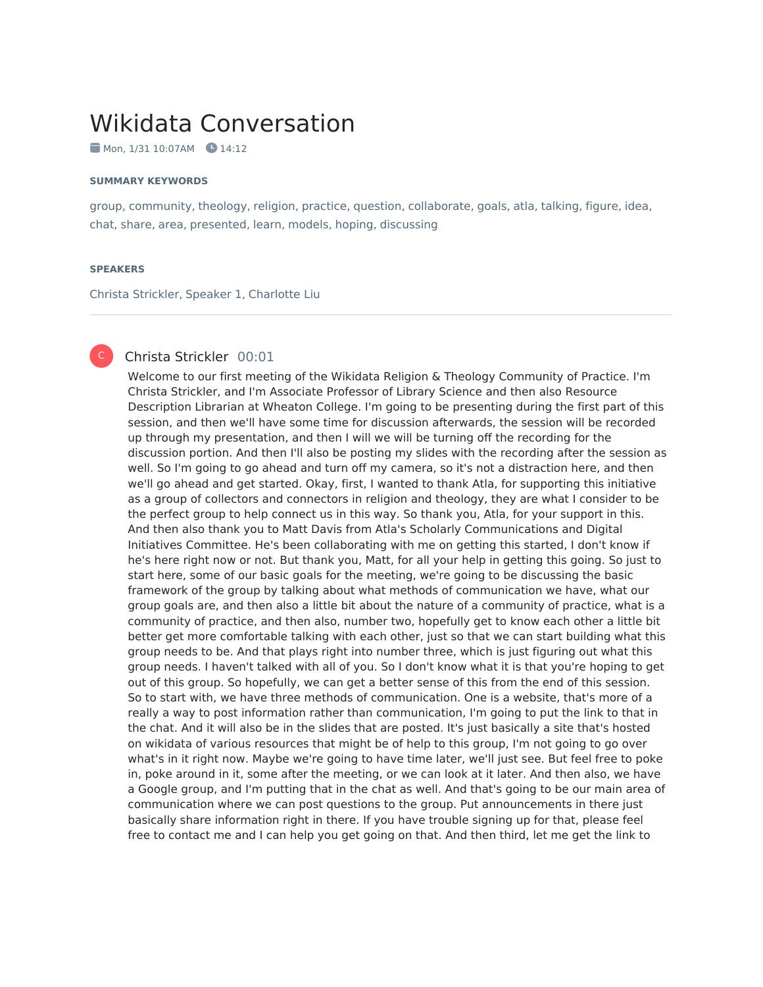# Wikidata Conversation

 $\blacksquare$  Mon, 1/31 10:07AM  $\blacksquare$  14:12

#### **SUMMARY KEYWORDS**

group, community, theology, religion, practice, question, collaborate, goals, atla, talking, figure, idea, chat, share, area, presented, learn, models, hoping, discussing

#### **SPEAKERS**

Christa Strickler, Speaker 1, Charlotte Liu

# C

# Christa Strickler 00:01

Welcome to our first meeting of the Wikidata Religion & Theology Community of Practice. I'm Christa Strickler, and I'm Associate Professor of Library Science and then also Resource Description Librarian at Wheaton College. I'm going to be presenting during the first part of this session, and then we'll have some time for discussion afterwards, the session will be recorded up through my presentation, and then I will we will be turning off the recording for the discussion portion. And then I'll also be posting my slides with the recording after the session as well. So I'm going to go ahead and turn off my camera, so it's not a distraction here, and then we'll go ahead and get started. Okay, first, I wanted to thank Atla, for supporting this initiative as a group of collectors and connectors in religion and theology, they are what I consider to be the perfect group to help connect us in this way. So thank you, Atla, for your support in this. And then also thank you to Matt Davis from Atla's Scholarly Communications and Digital Initiatives Committee. He's been collaborating with me on getting this started, I don't know if he's here right now or not. But thank you, Matt, for all your help in getting this going. So just to start here, some of our basic goals for the meeting, we're going to be discussing the basic framework of the group by talking about what methods of communication we have, what our group goals are, and then also a little bit about the nature of a community of practice, what is a community of practice, and then also, number two, hopefully get to know each other a little bit better get more comfortable talking with each other, just so that we can start building what this group needs to be. And that plays right into number three, which is just figuring out what this group needs. I haven't talked with all of you. So I don't know what it is that you're hoping to get out of this group. So hopefully, we can get a better sense of this from the end of this session. So to start with, we have three methods of communication. One is a website, that's more of a really a way to post information rather than communication, I'm going to put the link to that in the chat. And it will also be in the slides that are posted. It's just basically a site that's hosted on wikidata of various resources that might be of help to this group, I'm not going to go over what's in it right now. Maybe we're going to have time later, we'll just see. But feel free to poke in, poke around in it, some after the meeting, or we can look at it later. And then also, we have a Google group, and I'm putting that in the chat as well. And that's going to be our main area of communication where we can post questions to the group. Put announcements in there just basically share information right in there. If you have trouble signing up for that, please feel free to contact me and I can help you get going on that. And then third, let me get the link to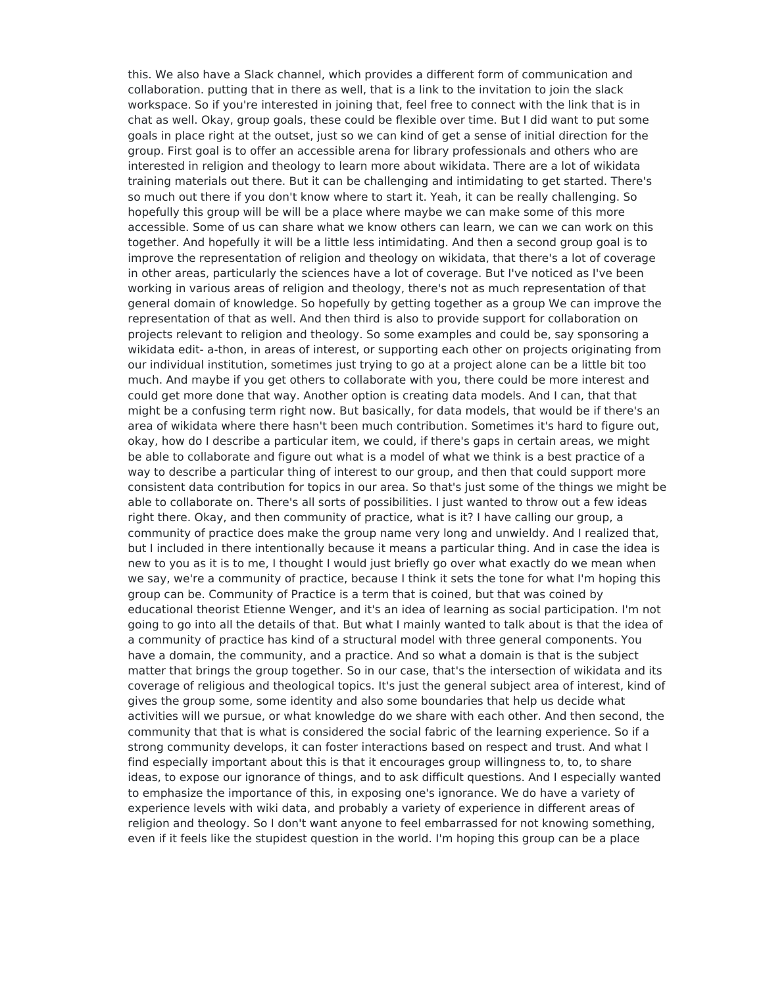this. We also have a Slack channel, which provides a different form of communication and collaboration. putting that in there as well, that is a link to the invitation to join the slack workspace. So if you're interested in joining that, feel free to connect with the link that is in chat as well. Okay, group goals, these could be flexible over time. But I did want to put some goals in place right at the outset, just so we can kind of get a sense of initial direction for the group. First goal is to offer an accessible arena for library professionals and others who are interested in religion and theology to learn more about wikidata. There are a lot of wikidata training materials out there. But it can be challenging and intimidating to get started. There's so much out there if you don't know where to start it. Yeah, it can be really challenging. So hopefully this group will be will be a place where maybe we can make some of this more accessible. Some of us can share what we know others can learn, we can we can work on this together. And hopefully it will be a little less intimidating. And then a second group goal is to improve the representation of religion and theology on wikidata, that there's a lot of coverage in other areas, particularly the sciences have a lot of coverage. But I've noticed as I've been working in various areas of religion and theology, there's not as much representation of that general domain of knowledge. So hopefully by getting together as a group We can improve the representation of that as well. And then third is also to provide support for collaboration on projects relevant to religion and theology. So some examples and could be, say sponsoring a wikidata edit- a-thon, in areas of interest, or supporting each other on projects originating from our individual institution, sometimes just trying to go at a project alone can be a little bit too much. And maybe if you get others to collaborate with you, there could be more interest and could get more done that way. Another option is creating data models. And I can, that that might be a confusing term right now. But basically, for data models, that would be if there's an area of wikidata where there hasn't been much contribution. Sometimes it's hard to figure out, okay, how do I describe a particular item, we could, if there's gaps in certain areas, we might be able to collaborate and figure out what is a model of what we think is a best practice of a way to describe a particular thing of interest to our group, and then that could support more consistent data contribution for topics in our area. So that's just some of the things we might be able to collaborate on. There's all sorts of possibilities. I just wanted to throw out a few ideas right there. Okay, and then community of practice, what is it? I have calling our group, a community of practice does make the group name very long and unwieldy. And I realized that, but I included in there intentionally because it means a particular thing. And in case the idea is new to you as it is to me, I thought I would just briefly go over what exactly do we mean when we say, we're a community of practice, because I think it sets the tone for what I'm hoping this group can be. Community of Practice is a term that is coined, but that was coined by educational theorist Etienne Wenger, and it's an idea of learning as social participation. I'm not going to go into all the details of that. But what I mainly wanted to talk about is that the idea of a community of practice has kind of a structural model with three general components. You have a domain, the community, and a practice. And so what a domain is that is the subject matter that brings the group together. So in our case, that's the intersection of wikidata and its coverage of religious and theological topics. It's just the general subject area of interest, kind of gives the group some, some identity and also some boundaries that help us decide what activities will we pursue, or what knowledge do we share with each other. And then second, the community that that is what is considered the social fabric of the learning experience. So if a strong community develops, it can foster interactions based on respect and trust. And what I find especially important about this is that it encourages group willingness to, to, to share ideas, to expose our ignorance of things, and to ask difficult questions. And I especially wanted to emphasize the importance of this, in exposing one's ignorance. We do have a variety of experience levels with wiki data, and probably a variety of experience in different areas of religion and theology. So I don't want anyone to feel embarrassed for not knowing something, even if it feels like the stupidest question in the world. I'm hoping this group can be a place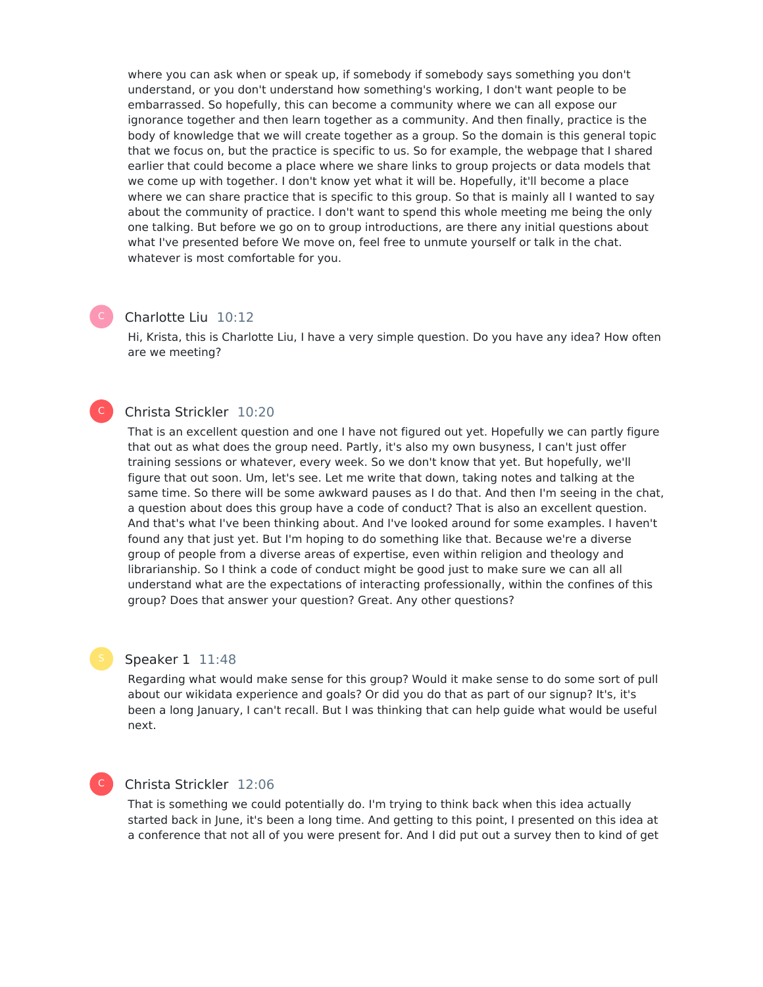where you can ask when or speak up, if somebody if somebody says something you don't understand, or you don't understand how something's working, I don't want people to be embarrassed. So hopefully, this can become a community where we can all expose our ignorance together and then learn together as a community. And then finally, practice is the body of knowledge that we will create together as a group. So the domain is this general topic that we focus on, but the practice is specific to us. So for example, the webpage that I shared earlier that could become a place where we share links to group projects or data models that we come up with together. I don't know yet what it will be. Hopefully, it'll become a place where we can share practice that is specific to this group. So that is mainly all I wanted to say about the community of practice. I don't want to spend this whole meeting me being the only one talking. But before we go on to group introductions, are there any initial questions about what I've presented before We move on, feel free to unmute yourself or talk in the chat. whatever is most comfortable for you.

### Charlotte Liu 10:12

Hi, Krista, this is Charlotte Liu, I have a very simple question. Do you have any idea? How often are we meeting?

## Christa Strickler 10:20

That is an excellent question and one I have not figured out yet. Hopefully we can partly figure that out as what does the group need. Partly, it's also my own busyness, I can't just offer training sessions or whatever, every week. So we don't know that yet. But hopefully, we'll figure that out soon. Um, let's see. Let me write that down, taking notes and talking at the same time. So there will be some awkward pauses as I do that. And then I'm seeing in the chat, a question about does this group have a code of conduct? That is also an excellent question. And that's what I've been thinking about. And I've looked around for some examples. I haven't found any that just yet. But I'm hoping to do something like that. Because we're a diverse group of people from a diverse areas of expertise, even within religion and theology and librarianship. So I think a code of conduct might be good just to make sure we can all all understand what are the expectations of interacting professionally, within the confines of this group? Does that answer your question? Great. Any other questions?

#### Speaker 1 11:48

Regarding what would make sense for this group? Would it make sense to do some sort of pull about our wikidata experience and goals? Or did you do that as part of our signup? It's, it's been a long January, I can't recall. But I was thinking that can help guide what would be useful next.

## C

 $\mathsf{C}^-$ 

### Christa Strickler 12:06

That is something we could potentially do. I'm trying to think back when this idea actually started back in June, it's been a long time. And getting to this point, I presented on this idea at a conference that not all of you were present for. And I did put out a survey then to kind of get